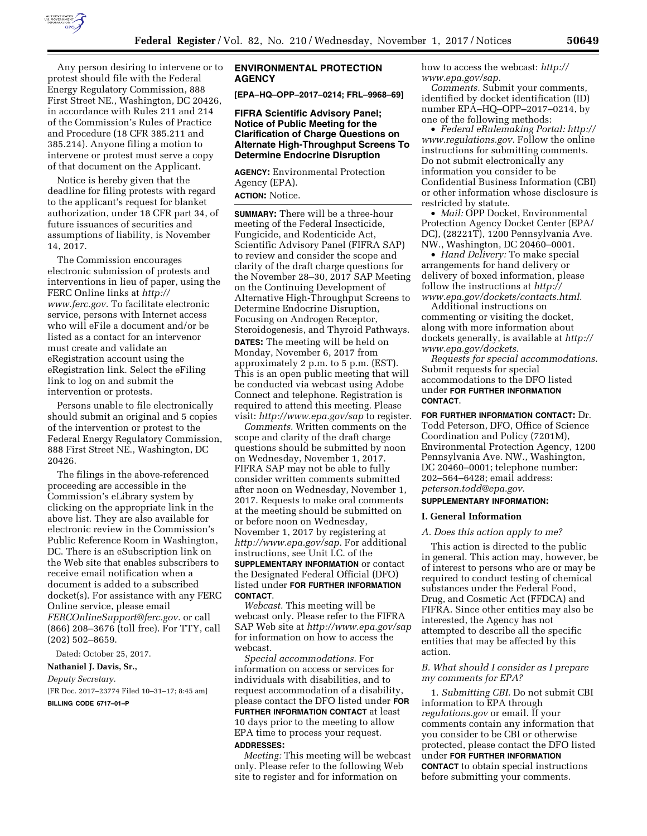

Any person desiring to intervene or to protest should file with the Federal Energy Regulatory Commission, 888 First Street NE., Washington, DC 20426, in accordance with Rules 211 and 214 of the Commission's Rules of Practice and Procedure (18 CFR 385.211 and 385.214). Anyone filing a motion to intervene or protest must serve a copy of that document on the Applicant.

Notice is hereby given that the deadline for filing protests with regard to the applicant's request for blanket authorization, under 18 CFR part 34, of future issuances of securities and assumptions of liability, is November 14, 2017.

The Commission encourages electronic submission of protests and interventions in lieu of paper, using the FERC Online links at *[http://](http://www.ferc.gov) [www.ferc.gov.](http://www.ferc.gov)* To facilitate electronic service, persons with Internet access who will eFile a document and/or be listed as a contact for an intervenor must create and validate an eRegistration account using the eRegistration link. Select the eFiling link to log on and submit the intervention or protests.

Persons unable to file electronically should submit an original and 5 copies of the intervention or protest to the Federal Energy Regulatory Commission, 888 First Street NE., Washington, DC 20426.

The filings in the above-referenced proceeding are accessible in the Commission's eLibrary system by clicking on the appropriate link in the above list. They are also available for electronic review in the Commission's Public Reference Room in Washington, DC. There is an eSubscription link on the Web site that enables subscribers to receive email notification when a document is added to a subscribed docket(s). For assistance with any FERC Online service, please email *[FERCOnlineSupport@ferc.gov.](mailto:FERCOnlineSupport@ferc.gov)* or call (866) 208–3676 (toll free). For TTY, call (202) 502–8659.

Dated: October 25, 2017.

## **Nathaniel J. Davis, Sr.,**

*Deputy Secretary.* 

[FR Doc. 2017–23774 Filed 10–31–17; 8:45 am]

**BILLING CODE 6717–01–P** 

### **ENVIRONMENTAL PROTECTION AGENCY**

**[EPA–HQ–OPP–2017–0214; FRL–9968–69]** 

### **FIFRA Scientific Advisory Panel; Notice of Public Meeting for the Clarification of Charge Questions on Alternate High-Throughput Screens To Determine Endocrine Disruption**

**AGENCY:** Environmental Protection Agency (EPA). **ACTION:** Notice.

**SUMMARY:** There will be a three-hour meeting of the Federal Insecticide, Fungicide, and Rodenticide Act, Scientific Advisory Panel (FIFRA SAP) to review and consider the scope and clarity of the draft charge questions for the November 28–30, 2017 SAP Meeting on the Continuing Development of Alternative High-Throughput Screens to Determine Endocrine Disruption, Focusing on Androgen Receptor, Steroidogenesis, and Thyroid Pathways. **DATES:** The meeting will be held on Monday, November 6, 2017 from approximately 2 p.m. to 5 p.m. (EST). This is an open public meeting that will be conducted via webcast using Adobe Connect and telephone. Registration is required to attend this meeting. Please visit: *<http://www.epa.gov/sap>* to register.

*Comments.* Written comments on the scope and clarity of the draft charge questions should be submitted by noon on Wednesday, November 1, 2017. FIFRA SAP may not be able to fully consider written comments submitted after noon on Wednesday, November 1, 2017. Requests to make oral comments at the meeting should be submitted on or before noon on Wednesday, November 1, 2017 by registering at *[http://www.epa.gov/sap.](http://www.epa.gov/sap)* For additional instructions, see Unit I.C. of the **SUPPLEMENTARY INFORMATION** or contact the Designated Federal Official (DFO) listed under **FOR FURTHER INFORMATION CONTACT**.

*Webcast.* This meeting will be webcast only. Please refer to the FIFRA SAP Web site at *<http://www.epa.gov/sap>* for information on how to access the webcast.

*Special accommodations.* For information on access or services for individuals with disabilities, and to request accommodation of a disability, please contact the DFO listed under **FOR FURTHER INFORMATION CONTACT** at least 10 days prior to the meeting to allow EPA time to process your request. **ADDRESSES:** 

*Meeting:* This meeting will be webcast only. Please refer to the following Web site to register and for information on

how to access the webcast: *[http://](http://www.epa.gov/sap) [www.epa.gov/sap.](http://www.epa.gov/sap)* 

*Comments.* Submit your comments, identified by docket identification (ID) number EPA–HQ–OPP–2017–0214, by one of the following methods:

• *Federal eRulemaking Portal: [http://](http://www.regulations.gov)  [www.regulations.gov.](http://www.regulations.gov)* Follow the online instructions for submitting comments. Do not submit electronically any information you consider to be Confidential Business Information (CBI) or other information whose disclosure is restricted by statute.

• *Mail:* OPP Docket, Environmental Protection Agency Docket Center (EPA/ DC), (28221T), 1200 Pennsylvania Ave. NW., Washington, DC 20460–0001.

• *Hand Delivery:* To make special arrangements for hand delivery or delivery of boxed information, please follow the instructions at *[http://](http://www.epa.gov/dockets/contacts.html) [www.epa.gov/dockets/contacts.html.](http://www.epa.gov/dockets/contacts.html)* 

Additional instructions on commenting or visiting the docket, along with more information about dockets generally, is available at *[http://](http://www.epa.gov/dockets)  [www.epa.gov/dockets.](http://www.epa.gov/dockets)* 

*Requests for special accommodations.*  Submit requests for special accommodations to the DFO listed under **FOR FURTHER INFORMATION CONTACT**.

**FOR FURTHER INFORMATION CONTACT:** Dr. Todd Peterson, DFO, Office of Science Coordination and Policy (7201M), Environmental Protection Agency, 1200 Pennsylvania Ave. NW., Washington, DC 20460–0001; telephone number: 202–564–6428; email address: *[peterson.todd@epa.gov.](mailto:peterson.todd@epa.gov)* 

# **SUPPLEMENTARY INFORMATION:**

### **I. General Information**

### *A. Does this action apply to me?*

This action is directed to the public in general. This action may, however, be of interest to persons who are or may be required to conduct testing of chemical substances under the Federal Food, Drug, and Cosmetic Act (FFDCA) and FIFRA. Since other entities may also be interested, the Agency has not attempted to describe all the specific entities that may be affected by this action.

### *B. What should I consider as I prepare my comments for EPA?*

1. *Submitting CBI.* Do not submit CBI information to EPA through *regulations.gov* or email. If your comments contain any information that you consider to be CBI or otherwise protected, please contact the DFO listed under **FOR FURTHER INFORMATION CONTACT** to obtain special instructions before submitting your comments.